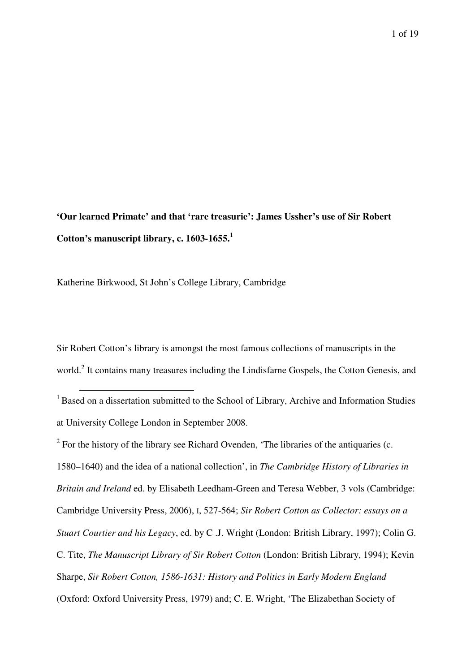**'Our learned Primate' and that 'rare treasurie': James Ussher's use of Sir Robert Cotton's manuscript library, c. 1603-1655.<sup>1</sup>**

Katherine Birkwood, St John's College Library, Cambridge

 $\overline{a}$ 

Sir Robert Cotton's library is amongst the most famous collections of manuscripts in the world.<sup>2</sup> It contains many treasures including the Lindisfarne Gospels, the Cotton Genesis, and

 $1$  Based on a dissertation submitted to the School of Library, Archive and Information Studies at University College London in September 2008.

 $2^2$  For the history of the library see Richard Ovenden, 'The libraries of the antiquaries (c. 1580–1640) and the idea of a national collection', in *The Cambridge History of Libraries in Britain and Ireland* ed. by Elisabeth Leedham-Green and Teresa Webber, 3 vols (Cambridge: Cambridge University Press, 2006), I, 527-564; *Sir Robert Cotton as Collector: essays on a Stuart Courtier and his Legacy*, ed. by C .J. Wright (London: British Library, 1997); Colin G. C. Tite, *The Manuscript Library of Sir Robert Cotton* (London: British Library, 1994); Kevin Sharpe, *Sir Robert Cotton, 1586-1631: History and Politics in Early Modern England* (Oxford: Oxford University Press, 1979) and; C. E. Wright, 'The Elizabethan Society of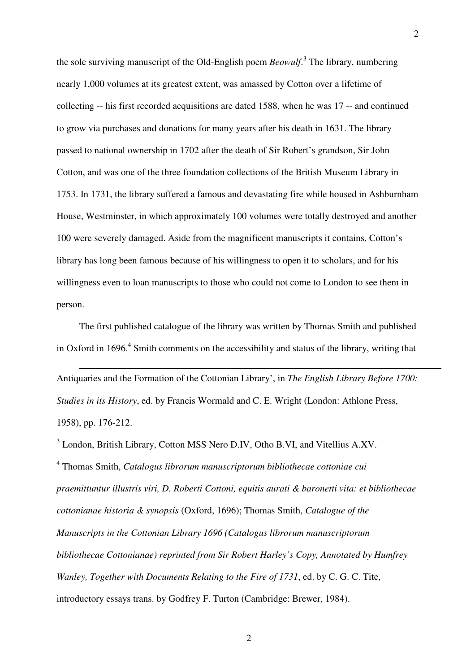the sole surviving manuscript of the Old-English poem *Beowulf*. 3 The library, numbering nearly 1,000 volumes at its greatest extent, was amassed by Cotton over a lifetime of collecting -- his first recorded acquisitions are dated 1588, when he was 17 -- and continued to grow via purchases and donations for many years after his death in 1631. The library passed to national ownership in 1702 after the death of Sir Robert's grandson, Sir John Cotton, and was one of the three foundation collections of the British Museum Library in 1753. In 1731, the library suffered a famous and devastating fire while housed in Ashburnham House, Westminster, in which approximately 100 volumes were totally destroyed and another 100 were severely damaged. Aside from the magnificent manuscripts it contains, Cotton's library has long been famous because of his willingness to open it to scholars, and for his willingness even to loan manuscripts to those who could not come to London to see them in person.

The first published catalogue of the library was written by Thomas Smith and published in Oxford in 1696.<sup>4</sup> Smith comments on the accessibility and status of the library, writing that

 $\overline{a}$ 

Antiquaries and the Formation of the Cottonian Library', in *The English Library Before 1700: Studies in its History*, ed. by Francis Wormald and C. E. Wright (London: Athlone Press, 1958), pp. 176-212.

<sup>3</sup> London, British Library, Cotton MSS Nero D.IV, Otho B.VI, and Vitellius A.XV. 4 Thomas Smith, *Catalogus librorum manuscriptorum bibliothecae cottoniae cui praemittuntur illustris viri, D. Roberti Cottoni, equitis aurati & baronetti vita: et bibliothecae cottonianae historia & synopsis* (Oxford, 1696); Thomas Smith, *Catalogue of the Manuscripts in the Cottonian Library 1696 (Catalogus librorum manuscriptorum bibliothecae Cottonianae) reprinted from Sir Robert Harley's Copy, Annotated by Humfrey Wanley, Together with Documents Relating to the Fire of 1731*, ed. by C. G. C. Tite, introductory essays trans. by Godfrey F. Turton (Cambridge: Brewer, 1984).

2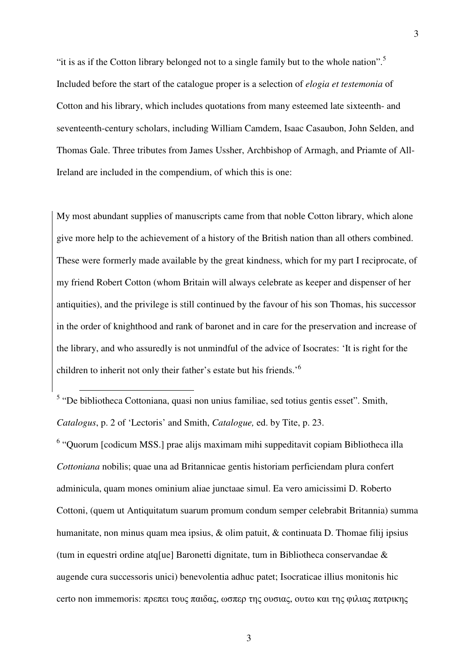"it is as if the Cotton library belonged not to a single family but to the whole nation".<sup>5</sup> Included before the start of the catalogue proper is a selection of *elogia et testemonia* of Cotton and his library, which includes quotations from many esteemed late sixteenth- and seventeenth-century scholars, including William Camdem, Isaac Casaubon, John Selden, and Thomas Gale. Three tributes from James Ussher, Archbishop of Armagh, and Priamte of All-Ireland are included in the compendium, of which this is one:

3

My most abundant supplies of manuscripts came from that noble Cotton library, which alone give more help to the achievement of a history of the British nation than all others combined. These were formerly made available by the great kindness, which for my part I reciprocate, of my friend Robert Cotton (whom Britain will always celebrate as keeper and dispenser of her antiquities), and the privilege is still continued by the favour of his son Thomas, his successor in the order of knighthood and rank of baronet and in care for the preservation and increase of the library, and who assuredly is not unmindful of the advice of Isocrates: 'It is right for the children to inherit not only their father's estate but his friends.'<sup>6</sup>

<sup>5</sup> "De bibliotheca Cottoniana, quasi non unius familiae, sed totius gentis esset". Smith, *Catalogus*, p. 2 of 'Lectoris' and Smith, *Catalogue,* ed. by Tite, p. 23.

 $\overline{a}$ 

<sup>6</sup> "Quorum [codicum MSS.] prae alijs maximam mihi suppeditavit copiam Bibliotheca illa *Cottoniana* nobilis; quae una ad Britannicae gentis historiam perficiendam plura confert adminicula, quam mones ominium aliae junctaae simul. Ea vero amicissimi D. Roberto Cottoni, (quem ut Antiquitatum suarum promum condum semper celebrabit Britannia) summa humanitate, non minus quam mea ipsius, & olim patuit, & continuata D. Thomae filij ipsius (tum in equestri ordine atq[ue] Baronetti dignitate, tum in Bibliotheca conservandae & augende cura successoris unici) benevolentia adhuc patet; Isocraticae illius monitonis hic certo non immemoris: πρεπει τους παιδας, ωσπερ της ουσιας, ουτω και της φιλιας πατρικης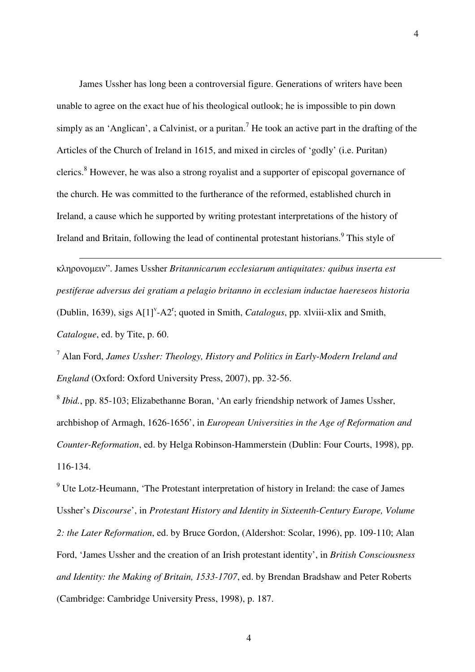James Ussher has long been a controversial figure. Generations of writers have been unable to agree on the exact hue of his theological outlook; he is impossible to pin down simply as an 'Anglican', a Calvinist, or a puritan.<sup>7</sup> He took an active part in the drafting of the Articles of the Church of Ireland in 1615, and mixed in circles of 'godly' (i.e. Puritan) clerics.<sup>8</sup> However, he was also a strong royalist and a supporter of episcopal governance of the church. He was committed to the furtherance of the reformed, established church in Ireland, a cause which he supported by writing protestant interpretations of the history of Ireland and Britain, following the lead of continental protestant historians.<sup>9</sup> This style of

κληρονοµειν". James Ussher *Britannicarum ecclesiarum antiquitates: quibus inserta est pestiferae adversus dei gratiam a pelagio britanno in ecclesiam inductae haereseos historia* (Dublin, 1639), sigs  $A[1]^V - A2^T$ ; quoted in Smith, *Catalogus*, pp. xlviii-xlix and Smith, *Catalogue*, ed. by Tite, p. 60.

 $\overline{a}$ 

7 Alan Ford, *James Ussher: Theology, History and Politics in Early-Modern Ireland and England* (Oxford: Oxford University Press, 2007), pp. 32-56.

8 *Ibid.*, pp. 85-103; Elizabethanne Boran, 'An early friendship network of James Ussher, archbishop of Armagh, 1626-1656', in *European Universities in the Age of Reformation and Counter-Reformation*, ed. by Helga Robinson-Hammerstein (Dublin: Four Courts, 1998), pp. 116-134.

 $9$  Ute Lotz-Heumann, 'The Protestant interpretation of history in Ireland: the case of James Ussher's *Discourse*', in *Protestant History and Identity in Sixteenth-Century Europe, Volume 2: the Later Reformation*, ed. by Bruce Gordon, (Aldershot: Scolar, 1996), pp. 109-110; Alan Ford, 'James Ussher and the creation of an Irish protestant identity', in *British Consciousness and Identity: the Making of Britain, 1533-1707*, ed. by Brendan Bradshaw and Peter Roberts (Cambridge: Cambridge University Press, 1998), p. 187.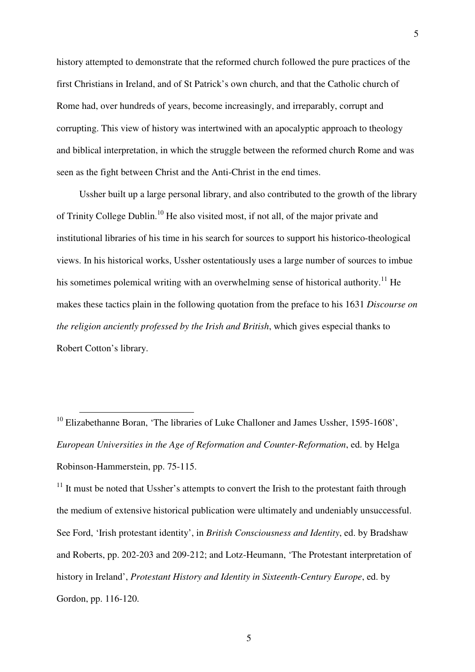history attempted to demonstrate that the reformed church followed the pure practices of the first Christians in Ireland, and of St Patrick's own church, and that the Catholic church of Rome had, over hundreds of years, become increasingly, and irreparably, corrupt and corrupting. This view of history was intertwined with an apocalyptic approach to theology and biblical interpretation, in which the struggle between the reformed church Rome and was seen as the fight between Christ and the Anti-Christ in the end times.

Ussher built up a large personal library, and also contributed to the growth of the library of Trinity College Dublin.<sup>10</sup> He also visited most, if not all, of the major private and institutional libraries of his time in his search for sources to support his historico-theological views. In his historical works, Ussher ostentatiously uses a large number of sources to imbue his sometimes polemical writing with an overwhelming sense of historical authority.<sup>11</sup> He makes these tactics plain in the following quotation from the preface to his 1631 *Discourse on the religion anciently professed by the Irish and British*, which gives especial thanks to Robert Cotton's library.

 $\overline{a}$ 

 $11$  It must be noted that Ussher's attempts to convert the Irish to the protestant faith through the medium of extensive historical publication were ultimately and undeniably unsuccessful. See Ford, 'Irish protestant identity', in *British Consciousness and Identity*, ed. by Bradshaw and Roberts, pp. 202-203 and 209-212; and Lotz-Heumann, 'The Protestant interpretation of history in Ireland', *Protestant History and Identity in Sixteenth-Century Europe*, ed. by Gordon, pp. 116-120.

 $10$  Elizabethanne Boran, 'The libraries of Luke Challoner and James Ussher, 1595-1608', *European Universities in the Age of Reformation and Counter-Reformation*, ed. by Helga Robinson-Hammerstein, pp. 75-115.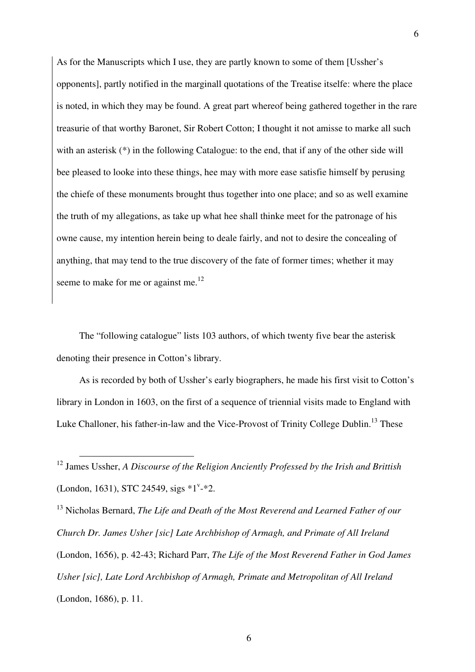As for the Manuscripts which I use, they are partly known to some of them [Ussher's opponents], partly notified in the marginall quotations of the Treatise itselfe: where the place is noted, in which they may be found. A great part whereof being gathered together in the rare treasurie of that worthy Baronet, Sir Robert Cotton; I thought it not amisse to marke all such with an asterisk (\*) in the following Catalogue: to the end, that if any of the other side will bee pleased to looke into these things, hee may with more ease satisfie himself by perusing the chiefe of these monuments brought thus together into one place; and so as well examine the truth of my allegations, as take up what hee shall thinke meet for the patronage of his owne cause, my intention herein being to deale fairly, and not to desire the concealing of anything, that may tend to the true discovery of the fate of former times; whether it may seeme to make for me or against me. $^{12}$ 

The "following catalogue" lists 103 authors, of which twenty five bear the asterisk denoting their presence in Cotton's library.

As is recorded by both of Ussher's early biographers, he made his first visit to Cotton's library in London in 1603, on the first of a sequence of triennial visits made to England with Luke Challoner, his father-in-law and the Vice-Provost of Trinity College Dublin.<sup>13</sup> These

 $\overline{a}$ 

<sup>13</sup> Nicholas Bernard, *The Life and Death of the Most Reverend and Learned Father of our Church Dr. James Usher [sic] Late Archbishop of Armagh, and Primate of All Ireland*  (London, 1656), p. 42-43; Richard Parr, *The Life of the Most Reverend Father in God James Usher [sic], Late Lord Archbishop of Armagh, Primate and Metropolitan of All Ireland*  (London, 1686), p. 11.

<sup>12</sup> James Ussher, *A Discourse of the Religion Anciently Professed by the Irish and Brittish* (London, 1631), STC 24549, sigs  $*1^v.*2$ .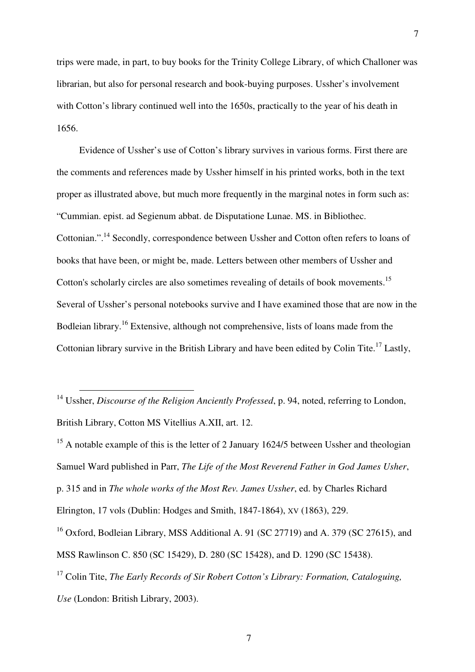trips were made, in part, to buy books for the Trinity College Library, of which Challoner was librarian, but also for personal research and book-buying purposes. Ussher's involvement with Cotton's library continued well into the 1650s, practically to the year of his death in 1656.

Evidence of Ussher's use of Cotton's library survives in various forms. First there are the comments and references made by Ussher himself in his printed works, both in the text proper as illustrated above, but much more frequently in the marginal notes in form such as: "Cummian. epist. ad Segienum abbat. de Disputatione Lunae. MS. in Bibliothec. Cottonian.".<sup>14</sup> Secondly, correspondence between Ussher and Cotton often refers to loans of books that have been, or might be, made. Letters between other members of Ussher and Cotton's scholarly circles are also sometimes revealing of details of book movements.<sup>15</sup> Several of Ussher's personal notebooks survive and I have examined those that are now in the Bodleian library.<sup>16</sup> Extensive, although not comprehensive, lists of loans made from the Cottonian library survive in the British Library and have been edited by Colin Tite.<sup>17</sup> Lastly,

 $\overline{a}$ 

<sup>15</sup> A notable example of this is the letter of 2 January 1624/5 between Ussher and theologian Samuel Ward published in Parr, *The Life of the Most Reverend Father in God James Usher*, p. 315 and in *The whole works of the Most Rev. James Ussher*, ed. by Charles Richard Elrington, 17 vols (Dublin: Hodges and Smith, 1847-1864), XV (1863), 229.

<sup>16</sup> Oxford, Bodleian Library, MSS Additional A. 91 (SC 27719) and A. 379 (SC 27615), and MSS Rawlinson C. 850 (SC 15429), D. 280 (SC 15428), and D. 1290 (SC 15438).

<sup>17</sup> Colin Tite, *The Early Records of Sir Robert Cotton's Library: Formation, Cataloguing, Use* (London: British Library, 2003).

<sup>&</sup>lt;sup>14</sup> Ussher, *Discourse of the Religion Anciently Professed*, p. 94, noted, referring to London, British Library, Cotton MS Vitellius A.XII, art. 12.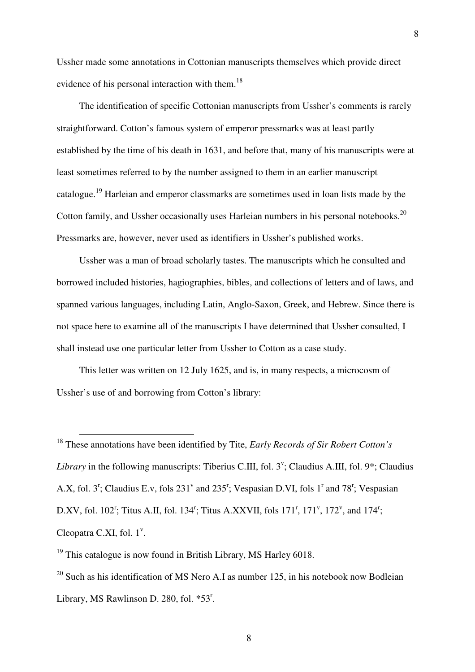Ussher made some annotations in Cottonian manuscripts themselves which provide direct evidence of his personal interaction with them.<sup>18</sup>

The identification of specific Cottonian manuscripts from Ussher's comments is rarely straightforward. Cotton's famous system of emperor pressmarks was at least partly established by the time of his death in 1631, and before that, many of his manuscripts were at least sometimes referred to by the number assigned to them in an earlier manuscript catalogue.<sup>19</sup> Harleian and emperor classmarks are sometimes used in loan lists made by the Cotton family, and Ussher occasionally uses Harleian numbers in his personal notebooks.<sup>20</sup> Pressmarks are, however, never used as identifiers in Ussher's published works.

Ussher was a man of broad scholarly tastes. The manuscripts which he consulted and borrowed included histories, hagiographies, bibles, and collections of letters and of laws, and spanned various languages, including Latin, Anglo-Saxon, Greek, and Hebrew. Since there is not space here to examine all of the manuscripts I have determined that Ussher consulted, I shall instead use one particular letter from Ussher to Cotton as a case study.

This letter was written on 12 July 1625, and is, in many respects, a microcosm of Ussher's use of and borrowing from Cotton's library:

<sup>18</sup> These annotations have been identified by Tite, *Early Records of Sir Robert Cotton's*  Library in the following manuscripts: Tiberius C.III, fol. 3<sup>v</sup>; Claudius A.III, fol. 9<sup>\*</sup>; Claudius A.X, fol.  $3^r$ ; Claudius E.v, fols  $231^v$  and  $235^r$ ; Vespasian D.VI, fols  $1^r$  and  $78^r$ ; Vespasian D.XV, fol. 102<sup>r</sup>; Titus A.II, fol. 134<sup>r</sup>; Titus A.XXVII, fols 171<sup>r</sup>, 171<sup>v</sup>, 172<sup>v</sup>, and 174<sup>r</sup>; Cleopatra C.XI, fol.  $1^{\nu}$ .

 $19$  This catalogue is now found in British Library, MS Harley 6018.

 $\overline{a}$ 

 $20$  Such as his identification of MS Nero A.I as number 125, in his notebook now Bodleian Library, MS Rawlinson D. 280, fol.  $*53<sup>r</sup>$ .

8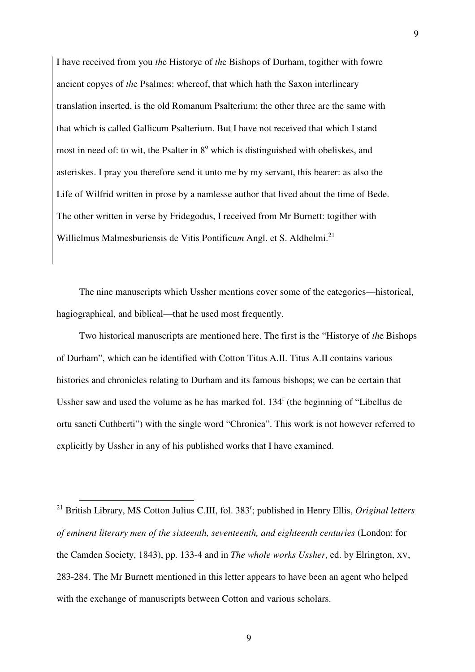I have received from you *th*e Historye of *th*e Bishops of Durham, togither with fowre ancient copyes of *th*e Psalmes: whereof, that which hath the Saxon interlineary translation inserted, is the old Romanum Psalterium; the other three are the same with that which is called Gallicum Psalterium. But I have not received that which I stand most in need of: to wit, the Psalter in 8° which is distinguished with obeliskes, and asteriskes. I pray you therefore send it unto me by my servant, this bearer: as also the Life of Wilfrid written in prose by a namlesse author that lived about the time of Bede. The other written in verse by Fridegodus, I received from Mr Burnett: togither with Willielmus Malmesburiensis de Vitis Pontificum Angl. et S. Aldhelmi.<sup>21</sup>

The nine manuscripts which Ussher mentions cover some of the categories—historical, hagiographical, and biblical—that he used most frequently.

Two historical manuscripts are mentioned here. The first is the "Historye of *th*e Bishops of Durham", which can be identified with Cotton Titus A.II. Titus A.II contains various histories and chronicles relating to Durham and its famous bishops; we can be certain that Ussher saw and used the volume as he has marked fol. 134<sup>r</sup> (the beginning of "Libellus de ortu sancti Cuthberti") with the single word "Chronica". This work is not however referred to explicitly by Ussher in any of his published works that I have examined.

<sup>21</sup> British Library, MS Cotton Julius C.III, fol. 383<sup>r</sup>; published in Henry Ellis, *Original letters of eminent literary men of the sixteenth, seventeenth, and eighteenth centuries* (London: for the Camden Society, 1843), pp. 133-4 and in *The whole works Ussher*, ed. by Elrington, XV, 283-284. The Mr Burnett mentioned in this letter appears to have been an agent who helped with the exchange of manuscripts between Cotton and various scholars.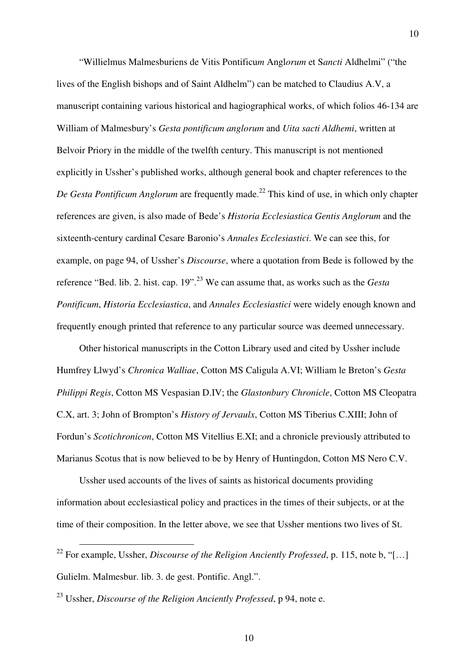"Willielmus Malmesburiens de Vitis Pontificu*m* Angl*orum* et S*ancti* Aldhelmi" ("the lives of the English bishops and of Saint Aldhelm") can be matched to Claudius A.V, a manuscript containing various historical and hagiographical works, of which folios 46-134 are William of Malmesbury's *Gesta pontificum anglorum* and *Uita sacti Aldhemi*, written at Belvoir Priory in the middle of the twelfth century. This manuscript is not mentioned explicitly in Ussher's published works, although general book and chapter references to the *De Gesta Pontificum Anglorum* are frequently made.<sup>22</sup> This kind of use, in which only chapter references are given, is also made of Bede's *Historia Ecclesiastica Gentis Anglorum* and the sixteenth-century cardinal Cesare Baronio's *Annales Ecclesiastici*. We can see this, for example, on page 94, of Ussher's *Discourse*, where a quotation from Bede is followed by the reference "Bed. lib. 2. hist. cap. 19".<sup>23</sup> We can assume that, as works such as the *Gesta Pontificum*, *Historia Ecclesiastica*, and *Annales Ecclesiastici* were widely enough known and frequently enough printed that reference to any particular source was deemed unnecessary.

Other historical manuscripts in the Cotton Library used and cited by Ussher include Humfrey Llwyd's *Chronica Walliae*, Cotton MS Caligula A.VI; William le Breton's *Gesta Philippi Regis*, Cotton MS Vespasian D.IV; the *Glastonbury Chronicle*, Cotton MS Cleopatra C.X, art. 3; John of Brompton's *History of Jervaulx*, Cotton MS Tiberius C.XIII; John of Fordun's *Scotichronicon*, Cotton MS Vitellius E.XI; and a chronicle previously attributed to Marianus Scotus that is now believed to be by Henry of Huntingdon, Cotton MS Nero C.V.

Ussher used accounts of the lives of saints as historical documents providing information about ecclesiastical policy and practices in the times of their subjects, or at the time of their composition. In the letter above, we see that Ussher mentions two lives of St.

<sup>22</sup> For example, Ussher, *Discourse of the Religion Anciently Professed*, p. 115, note b, "[…] Gulielm. Malmesbur. lib. 3. de gest. Pontific. Angl.".

<sup>23</sup> Ussher, *Discourse of the Religion Anciently Professed*, p 94, note e.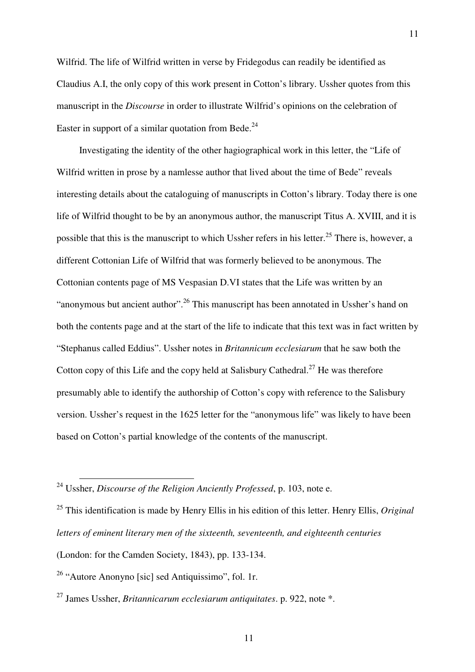Wilfrid. The life of Wilfrid written in verse by Fridegodus can readily be identified as Claudius A.I, the only copy of this work present in Cotton's library. Ussher quotes from this manuscript in the *Discourse* in order to illustrate Wilfrid's opinions on the celebration of Easter in support of a similar quotation from Bede.<sup>24</sup>

Investigating the identity of the other hagiographical work in this letter, the "Life of Wilfrid written in prose by a namlesse author that lived about the time of Bede" reveals interesting details about the cataloguing of manuscripts in Cotton's library. Today there is one life of Wilfrid thought to be by an anonymous author, the manuscript Titus A. XVIII, and it is possible that this is the manuscript to which Ussher refers in his letter.<sup>25</sup> There is, however, a different Cottonian Life of Wilfrid that was formerly believed to be anonymous. The Cottonian contents page of MS Vespasian D.VI states that the Life was written by an "anonymous but ancient author".<sup>26</sup> This manuscript has been annotated in Ussher's hand on both the contents page and at the start of the life to indicate that this text was in fact written by "Stephanus called Eddius". Ussher notes in *Britannicum ecclesiarum* that he saw both the Cotton copy of this Life and the copy held at Salisbury Cathedral.<sup>27</sup> He was therefore presumably able to identify the authorship of Cotton's copy with reference to the Salisbury version. Ussher's request in the 1625 letter for the "anonymous life" was likely to have been based on Cotton's partial knowledge of the contents of the manuscript.

<sup>24</sup> Ussher, *Discourse of the Religion Anciently Professed*, p. 103, note e.

<sup>25</sup> This identification is made by Henry Ellis in his edition of this letter. Henry Ellis, *Original letters of eminent literary men of the sixteenth, seventeenth, and eighteenth centuries*

<sup>(</sup>London: for the Camden Society, 1843), pp. 133-134.

 $26$  "Autore Anonyno [sic] sed Antiquissimo", fol. 1r.

<sup>27</sup> James Ussher, *Britannicarum ecclesiarum antiquitates*. p. 922, note \*.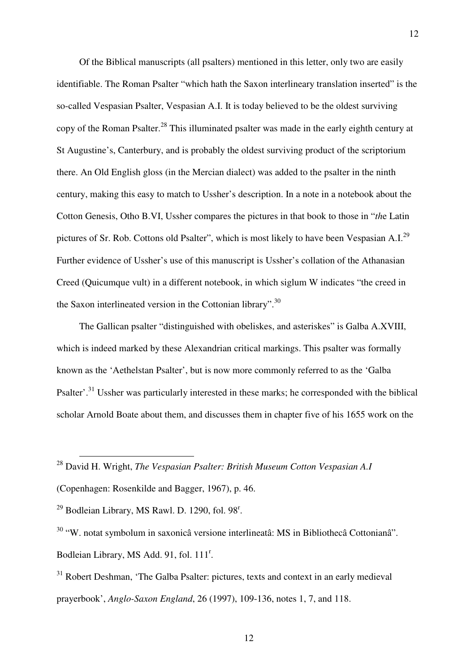Of the Biblical manuscripts (all psalters) mentioned in this letter, only two are easily identifiable. The Roman Psalter "which hath the Saxon interlineary translation inserted" is the so-called Vespasian Psalter, Vespasian A.I. It is today believed to be the oldest surviving copy of the Roman Psalter.<sup>28</sup> This illuminated psalter was made in the early eighth century at St Augustine's, Canterbury, and is probably the oldest surviving product of the scriptorium there. An Old English gloss (in the Mercian dialect) was added to the psalter in the ninth century, making this easy to match to Ussher's description. In a note in a notebook about the Cotton Genesis, Otho B.VI, Ussher compares the pictures in that book to those in "*th*e Latin pictures of Sr. Rob. Cottons old Psalter", which is most likely to have been Vespasian A.I.<sup>29</sup> Further evidence of Ussher's use of this manuscript is Ussher's collation of the Athanasian Creed (Quicumque vult) in a different notebook, in which siglum W indicates "the creed in the Saxon interlineated version in the Cottonian library".<sup>30</sup>

The Gallican psalter "distinguished with obeliskes, and asteriskes" is Galba A.XVIII, which is indeed marked by these Alexandrian critical markings. This psalter was formally known as the 'Aethelstan Psalter', but is now more commonly referred to as the 'Galba Psalter'.<sup>31</sup> Ussher was particularly interested in these marks; he corresponded with the biblical scholar Arnold Boate about them, and discusses them in chapter five of his 1655 work on the

 $\overline{a}$ 

12

<sup>28</sup> David H. Wright, *The Vespasian Psalter: British Museum Cotton Vespasian A.I*

<sup>(</sup>Copenhagen: Rosenkilde and Bagger, 1967), p. 46.

 $29$  Bodleian Library, MS Rawl. D. 1290, fol. 98<sup>r</sup>.

<sup>30</sup> "W. notat symbolum in saxonicâ versione interlineatâ: MS in Bibliothecâ Cottonianâ". Bodleian Library, MS Add. 91, fol. 111<sup>r</sup>.

<sup>&</sup>lt;sup>31</sup> Robert Deshman, 'The Galba Psalter: pictures, texts and context in an early medieval prayerbook', *Anglo-Saxon England*, 26 (1997), 109-136, notes 1, 7, and 118.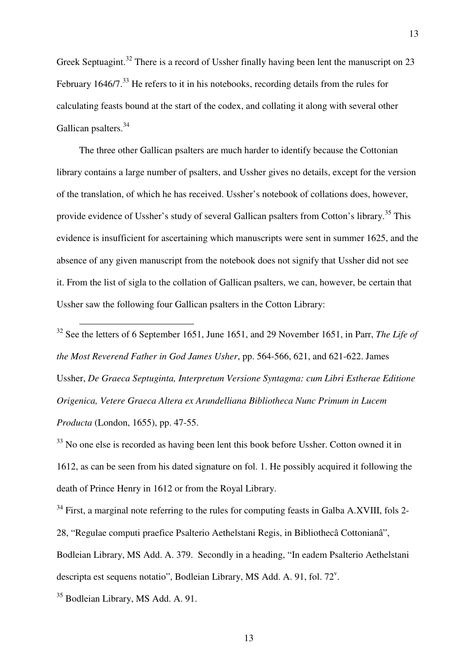Greek Septuagint.<sup>32</sup> There is a record of Ussher finally having been lent the manuscript on 23 February 1646/7.<sup>33</sup> He refers to it in his notebooks, recording details from the rules for calculating feasts bound at the start of the codex, and collating it along with several other Gallican psalters.<sup>34</sup>

13

The three other Gallican psalters are much harder to identify because the Cottonian library contains a large number of psalters, and Ussher gives no details, except for the version of the translation, of which he has received. Ussher's notebook of collations does, however, provide evidence of Ussher's study of several Gallican psalters from Cotton's library.<sup>35</sup> This evidence is insufficient for ascertaining which manuscripts were sent in summer 1625, and the absence of any given manuscript from the notebook does not signify that Ussher did not see it. From the list of sigla to the collation of Gallican psalters, we can, however, be certain that Ussher saw the following four Gallican psalters in the Cotton Library:

<sup>32</sup> See the letters of 6 September 1651, June 1651, and 29 November 1651, in Parr, *The Life of the Most Reverend Father in God James Usher*, pp. 564-566, 621, and 621-622. James Ussher, *De Graeca Septuginta, Interpretum Versione Syntagma: cum Libri Estherae Editione Origenica, Vetere Graeca Altera ex Arundelliana Bibliotheca Nunc Primum in Lucem Producta* (London, 1655), pp. 47-55.

 $33$  No one else is recorded as having been lent this book before Ussher. Cotton owned it in 1612, as can be seen from his dated signature on fol. 1. He possibly acquired it following the death of Prince Henry in 1612 or from the Royal Library.

 $34$  First, a marginal note referring to the rules for computing feasts in Galba A.XVIII, fols 2-28, "Regulae computi praefice Psalterio Aethelstani Regis, in Bibliothecâ Cottonianâ", Bodleian Library, MS Add. A. 379. Secondly in a heading, "In eadem Psalterio Aethelstani descripta est sequens notatio", Bodleian Library, MS Add. A. 91, fol.  $72^{\circ}$ .

<sup>35</sup> Bodleian Library, MS Add. A. 91.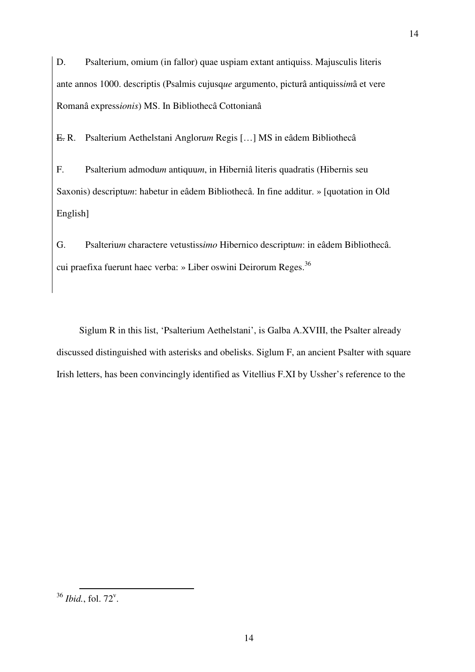D. Psalterium, omium (in fallor) quae uspiam extant antiquiss. Majusculis literis ante annos 1000. descriptis (Psalmis cujusq*ue* argumento, picturâ antiquiss*im*â et vere Romanâ express*ionis*) MS. In Bibliothecâ Cottonianâ

E. R. Psalterium Aethelstani Angloru*m* Regis […] MS in eâdem Bibliothecâ

F. Psalterium admodu*m* antiquu*m*, in Hiberniâ literis quadratis (Hibernis seu Saxonis) descriptu*m*: habetur in eâdem Bibliothecâ. In fine additur. » [quotation in Old English]

G. Psalteriu*m* charactere vetustiss*imo* Hibernico descriptu*m*: in eâdem Bibliothecâ. cui praefixa fuerunt haec verba: » Liber oswini Deirorum Reges.<sup>36</sup>

Siglum R in this list, 'Psalterium Aethelstani', is Galba A.XVIII, the Psalter already discussed distinguished with asterisks and obelisks. Siglum F, an ancient Psalter with square Irish letters, has been convincingly identified as Vitellius F.XI by Ussher's reference to the

 $36$  *Ibid.*, fol.  $72^{\circ}$ .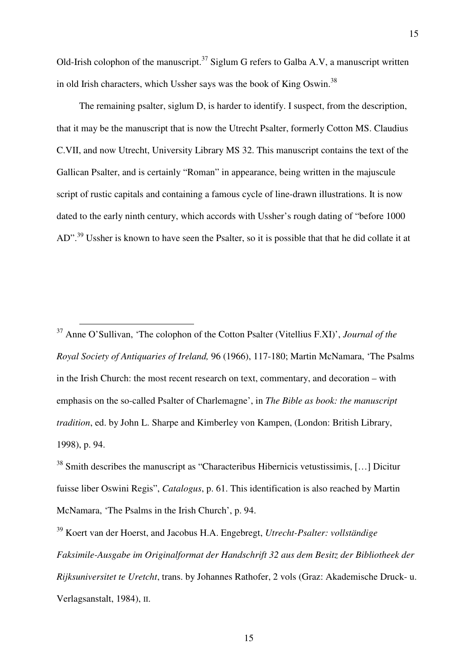Old-Irish colophon of the manuscript.<sup>37</sup> Siglum G refers to Galba A.V, a manuscript written in old Irish characters, which Ussher says was the book of King Oswin.<sup>38</sup>

The remaining psalter, siglum D, is harder to identify. I suspect, from the description, that it may be the manuscript that is now the Utrecht Psalter, formerly Cotton MS. Claudius C.VII, and now Utrecht, University Library MS 32. This manuscript contains the text of the Gallican Psalter, and is certainly "Roman" in appearance, being written in the majuscule script of rustic capitals and containing a famous cycle of line-drawn illustrations. It is now dated to the early ninth century, which accords with Ussher's rough dating of "before 1000 AD".<sup>39</sup> Ussher is known to have seen the Psalter, so it is possible that that he did collate it at

<sup>37</sup> Anne O'Sullivan, 'The colophon of the Cotton Psalter (Vitellius F.XI)', *Journal of the Royal Society of Antiquaries of Ireland,* 96 (1966), 117-180; Martin McNamara, 'The Psalms in the Irish Church: the most recent research on text, commentary, and decoration – with emphasis on the so-called Psalter of Charlemagne', in *The Bible as book: the manuscript tradition*, ed. by John L. Sharpe and Kimberley von Kampen, (London: British Library, 1998), p. 94.

 $\overline{a}$ 

<sup>38</sup> Smith describes the manuscript as "Characteribus Hibernicis vetustissimis, [...] Dicitur fuisse liber Oswini Regis", *Catalogus*, p. 61. This identification is also reached by Martin McNamara, 'The Psalms in the Irish Church', p. 94.

<sup>39</sup> Koert van der Hoerst, and Jacobus H.A. Engebregt, *Utrecht-Psalter: vollständige Faksimile-Ausgabe im Originalformat der Handschrift 32 aus dem Besitz der Bibliotheek der Rijksuniversitet te Uretcht*, trans. by Johannes Rathofer, 2 vols (Graz: Akademische Druck- u. Verlagsanstalt, 1984), II.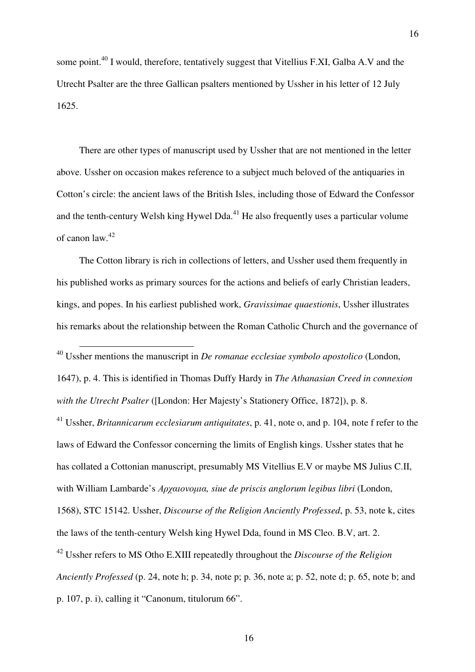some point.<sup>40</sup> I would, therefore, tentatively suggest that Vitellius F.XI, Galba A.V and the Utrecht Psalter are the three Gallican psalters mentioned by Ussher in his letter of 12 July 1625.

There are other types of manuscript used by Ussher that are not mentioned in the letter above. Ussher on occasion makes reference to a subject much beloved of the antiquaries in Cotton's circle: the ancient laws of the British Isles, including those of Edward the Confessor and the tenth-century Welsh king Hywel Dda.<sup>41</sup> He also frequently uses a particular volume of canon law.<sup>42</sup>

The Cotton library is rich in collections of letters, and Ussher used them frequently in his published works as primary sources for the actions and beliefs of early Christian leaders, kings, and popes. In his earliest published work, *Gravissimae quaestionis*, Ussher illustrates his remarks about the relationship between the Roman Catholic Church and the governance of

<sup>40</sup> Ussher mentions the manuscript in *De romanae ecclesiae symbolo apostolico* (London,

 $\overline{a}$ 

1647), p. 4. This is identified in Thomas Duffy Hardy in *The Athanasian Creed in connexion with the Utrecht Psalter* ([London: Her Majesty's Stationery Office, 1872]), p. 8.

<sup>41</sup> Ussher, *Britannicarum ecclesiarum antiquitates*, p. 41, note o, and p. 104, note f refer to the laws of Edward the Confessor concerning the limits of English kings. Ussher states that he has collated a Cottonian manuscript, presumably MS Vitellius E.V or maybe MS Julius C.II, with William Lambarde's Αρχαιονοµια*, siue de priscis anglorum legibus libri* (London, 1568), STC 15142. Ussher, *Discourse of the Religion Anciently Professed*, p. 53, note k, cites the laws of the tenth-century Welsh king Hywel Dda, found in MS Cleo. B.V, art. 2. <sup>42</sup> Ussher refers to MS Otho E.XIII repeatedly throughout the *Discourse of the Religion Anciently Professed* (p. 24, note h; p. 34, note p; p. 36, note a; p. 52, note d; p. 65, note b; and p. 107, p. i), calling it "Canonum, titulorum 66".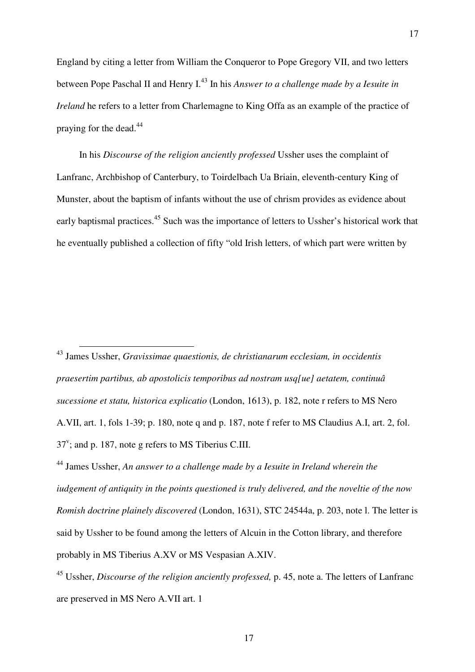England by citing a letter from William the Conqueror to Pope Gregory VII, and two letters between Pope Paschal II and Henry I.<sup>43</sup> In his *Answer to a challenge made by a Iesuite in Ireland* he refers to a letter from Charlemagne to King Offa as an example of the practice of praying for the dead.<sup>44</sup>

17

In his *Discourse of the religion anciently professed* Ussher uses the complaint of Lanfranc, Archbishop of Canterbury, to Toirdelbach Ua Briain, eleventh-century King of Munster, about the baptism of infants without the use of chrism provides as evidence about early baptismal practices.<sup>45</sup> Such was the importance of letters to Ussher's historical work that he eventually published a collection of fifty "old Irish letters, of which part were written by

<sup>43</sup> James Ussher, *Gravissimae quaestionis, de christianarum ecclesiam, in occidentis praesertim partibus, ab apostolicis temporibus ad nostram usq[ue] aetatem, continuâ sucessione et statu, historica explicatio* (London, 1613), p. 182, note r refers to MS Nero A.VII, art. 1, fols 1-39; p. 180, note q and p. 187, note f refer to MS Claudius A.I, art. 2, fol.  $37^{\circ}$ ; and p. 187, note g refers to MS Tiberius C.III.

 $\overline{a}$ 

<sup>44</sup> James Ussher, *An answer to a challenge made by a Iesuite in Ireland wherein the iudgement of antiquity in the points questioned is truly delivered, and the noveltie of the now Romish doctrine plainely discovered* (London, 1631), STC 24544a, p. 203, note l. The letter is said by Ussher to be found among the letters of Alcuin in the Cotton library, and therefore probably in MS Tiberius A.XV or MS Vespasian A.XIV.

<sup>45</sup> Ussher, *Discourse of the religion anciently professed,* p. 45, note a. The letters of Lanfranc are preserved in MS Nero A.VII art. 1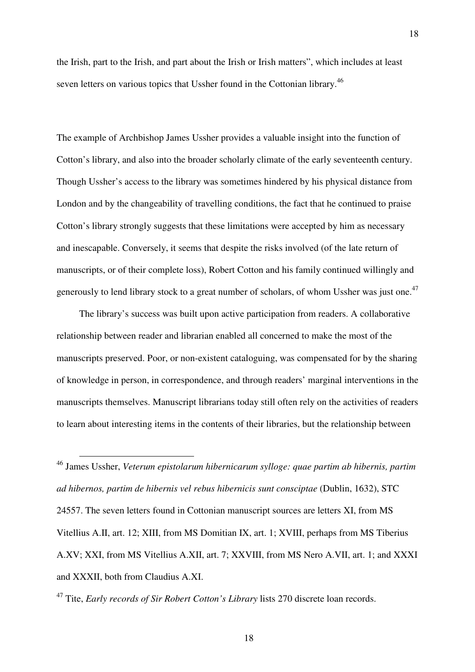the Irish, part to the Irish, and part about the Irish or Irish matters", which includes at least seven letters on various topics that Ussher found in the Cottonian library.<sup>46</sup>

18

The example of Archbishop James Ussher provides a valuable insight into the function of Cotton's library, and also into the broader scholarly climate of the early seventeenth century. Though Ussher's access to the library was sometimes hindered by his physical distance from London and by the changeability of travelling conditions, the fact that he continued to praise Cotton's library strongly suggests that these limitations were accepted by him as necessary and inescapable. Conversely, it seems that despite the risks involved (of the late return of manuscripts, or of their complete loss), Robert Cotton and his family continued willingly and generously to lend library stock to a great number of scholars, of whom Ussher was just one.<sup>47</sup>

The library's success was built upon active participation from readers. A collaborative relationship between reader and librarian enabled all concerned to make the most of the manuscripts preserved. Poor, or non-existent cataloguing, was compensated for by the sharing of knowledge in person, in correspondence, and through readers' marginal interventions in the manuscripts themselves. Manuscript librarians today still often rely on the activities of readers to learn about interesting items in the contents of their libraries, but the relationship between

<sup>46</sup> James Ussher, *Veterum epistolarum hibernicarum sylloge: quae partim ab hibernis, partim ad hibernos, partim de hibernis vel rebus hibernicis sunt consciptae* (Dublin, 1632), STC 24557. The seven letters found in Cottonian manuscript sources are letters XI, from MS Vitellius A.II, art. 12; XIII, from MS Domitian IX, art. 1; XVIII, perhaps from MS Tiberius A.XV; XXI, from MS Vitellius A.XII, art. 7; XXVIII, from MS Nero A.VII, art. 1; and XXXI and XXXII, both from Claudius A.XI.

<sup>47</sup> Tite, *Early records of Sir Robert Cotton's Library* lists 270 discrete loan records.